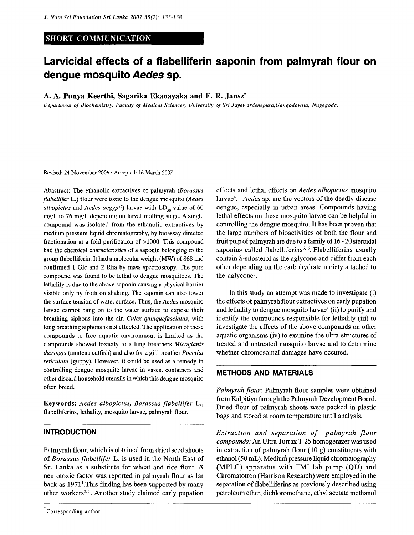# **SHORT COMMUNICATION**

# **Larvicidal effects of a flabelliferin saponin from palmyrah flour on dengue mosquito Aedes sp.**

#### A. A. Punya Keerthi, Sagarika Ekanayaka and E. R. Jansz\*

*Department of Biochemistry, Faculty of Medical Sciences, University of Sri Jayewardenepura,Gangodawila, Nugegoda.* 

Revised: 24 November 2006 ; Accepted: 16 March 2007

Abastract: The ethanolic extractives of palmyrah *(Borassus flabellifer* L.) flour were toxic to the dengue mosquito *{Aedes albopictus* and *Aedes aegypti*) larvae with  $LD_{50}$  value of 60 mg/L to 76 mg/L depending on larval molting stage. A single compound was isolated from the ethanolic extractives by medium pressure liquid chromatography, by bioassay directed fractionation at a fold purification of >1000. This compound had the chemical characteristics of a saponin belonging to the group flabelliferin. It had a molecular weight (MW) of 868 and confirmed 1 Glc and 2 Rha by mass spectroscopy. The pure compound was found to be lethal to dengue mosquitoes. The lethality is due to the above saponin causing a physical barrier visible only by froth on shaking. The saponin can also lower the surface tension of water surface. Thus, *the Aedes* mosquito larvae cannot hang on to the water surface to expose their breathing siphons into the air. *Culex quinquefasciatus,* with long breathing siphons is not effected. The application of these compounds to free aquatic environment is limited as the compounds showed toxicity to a lung breathers *Micoglanis iheringis* (anntena catfish) and also for a gill breather *Poecilia reticulata* (guppy). However, it could be used as a remedy in controlling dengue mosquito larvae in vases, containers and other discard household utensils in which this dengue mosquito often breed.

Keywords: *Aedes albopictus, Borassus flabellifer* L., flabelliferins, lethality, mosquito larvae, palmyrah flour.

#### **INTRODUCTION**

Palmyrah flour, which is obtained from dried seed shoots of *Borassus flabellifer* L. is used in the North East of Sri Lanka as a substitute for wheat and rice flour. A neurotoxic factor was reported in palmyrah flour as far back as 1971<sup>1</sup>. This finding has been supported by many other workers<sup>2, 3</sup>. Another study claimed early pupation effects and lethal effects on *Aedes albopictus* mosquito larvae<sup>4</sup> . *Aedes* sp. are the vectors of the deadly disease dengue, especially in urban areas. Compounds having lethal effects on these mosquito larvae can be helpful in controlling the dengue mosquito. It has been proven that the large numbers of bioactivities of both the flour and fruit pulp of palmyrah are due to a family of 16 - 20 steroidal saponins called flabelliferins<sup>5, 6</sup>. Flabelliferins usually contain a-sitosterol as the aglycone and differ from each other depending on the carbohydrate moiety attached to the aglycone<sup>6</sup>.

In this study an attempt was made to investigate (i) the effects of palmyrah flour extractives on early pupation and lethality to dengue mosquito larvae<sup>4</sup> (ii) to purify and identify the compounds responsible for lethality (iii) to investigate the effects of the above compounds on other aquatic organisms (iv) to examine the ultra-structures of treated and untreated mosquito larvae and to determine whether chromosomal damages have occured.

# **METHODS AND MATERIALS**

*Palmyrah flour:* Palmyrah flour samples were obtained from Kalpitiya through the Palmyrah Development Board. Dried flour of palmyrah shoots were packed in plastic bags and stored at room temperature until analysis.

*Extraction and separation of palmyrah flour compounds:* An Ultra Turrax T-25 homogenizer was used in extraction of palmyrah flour  $(10 g)$  constituents with ethanol (50 mL). Medium pressure liquid chromatography (MPLC) apparatus with FMI lab pump (QD) and Chromatotron (Harrison Research) were employed in the separation of flabelliferins as previously described using petroleum ether, dichloromethane, ethyl acetate methanol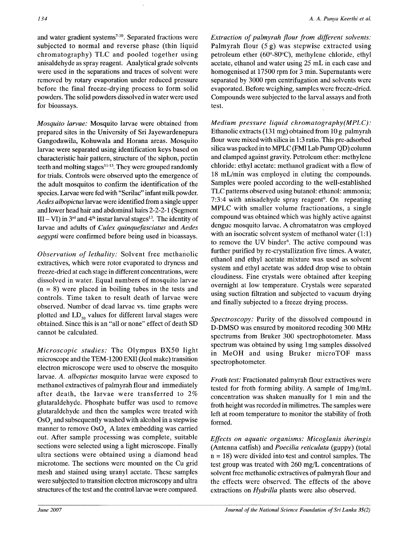and water gradient systems<sup>7-10</sup>. Separated fractions were subjected to normal and reverse phase (thin liquid chromatography) TLC and pooled together using anisaldehyde as spray reagent. Analytical grade solvents were used in the separations and traces of solvent were removed by rotary evaporation under reduced pressure before the final freeze-drying process to form solid powders. The solid powders dissolved in water were used for bioassays.

*Mosquito larvae:* Mosquito larvae were obtained from prepared sites in the University of Sri Jayewardenepura Gangodawila, Kohuwala and Horana areas. Mosquito larvae were separated using identification keys based on characteristic hair pattern, structure of the siphon, pectin teeth and molting stages  $11-13$ . They were grouped randomly for trials. Controls were observed upto the emergence of the adult mosquitos to confirm the identification of the species. Larvae were fed with "Serilac" infant milk powder. *Aedes albopictus* larvae were identified from a single upper and lower head hair and abdominal hairs 2-2-2-1 (Segment III – VI) in 3<sup>rd</sup> and 4<sup>th</sup> instar larval stages<sup>13</sup>. The identity of larvae and adults of *Culex quinquefasciatus* and *Aedes aegypti* were confirmed before being used in bioassays.

*Observation of lethality:* Solvent free methanolic extractives, which were rotor evaporated to dryness and freeze-dried at each stage in different concentrations, were dissolved in water. Equal numbers of mosquito larvae  $(n = 8)$  were placed in boiling tubes in the tests and controls. Time taken to result death of larvae were observed. Number of dead larvae vs. time graphs were plotted and  $LD_{50}$  values for different larval stages were obtained. Since this is an "all or none" effect of death SD cannot be calculated.

*Microscopic studies:* The Olympus BX50 light microscope and the TEM-1200 EXII (Jeol make) transition electron microscope were used to observe the mosquito larvae. *A. albopictus* mosquito larvae were exposed to methanol extractives of palmyrah flour and immediately after death, the larvae were transferred to *2%*  glutaraldehyde. Phosphate buffer was used to remove glutaraldehyde and then the samples were treated with  $OsO<sub>4</sub>$  and subsequently washed with alcohol in a stepwise manner to remove  $OsO<sub>4</sub>$  A latex embedding was carried out. After sample processing was complete, suitable sections were selected using a light microscope. Finally ultra sections were obtained using a diamond head microtome. The sections were mounted on the Cu grid mesh and stained using uranyl acetate. These samples were subjected to transition electron microscopy and ultra structures of the test and the control larvae were compared.

*Extraction of palmyrah flour from different solvents:*  Palmyrah flour (5 g) was stepwise extracted using petroleum ether (60°-80°C), methylene chloride, ethyl acetate, ethanol and water using 25 mL in each case and homogenised at 17500 rpm for 3 min. Supernatants were separated by 3000 rpm centrifugation and solvents were evaporated. Before weighing, samples were freeze-dried. Compounds were subjected to the larval assays and froth test.

*Medium pressure liquid chromatography(MPLC):*  Ethanolic extracts (131 mg) obtained from 10 g palmyrah flour were mixed with silica in 1:3 ratio. This pre-adsorbed silica was packed in to MPLC (FMI Lab Pump QD) column and clamped against gravity. Petroleum ether: methylene chloride: ethyl acetate: methanol gradient with a flow of 18 mL/min was employed in eluting the compounds. Samples were pooled according to the well-established TLC patterns observed using butanol: ethanol: ammonia; 7:3:4 with anisadehyde spray reagent<sup>6</sup>. On repeating MPLC with smaller volume fractionations, a single compound was obtained which was highly active against dengue mosquito larvae. A chromatatron was employed with an isocratic solvent system of methanol water (1:1) to remove the UV binder<sup>6</sup>. The active compound was further purified by re-crystallization five times. A water, ethanol and ethyl acetate mixture was used as solvent system and ethyl acetate was added drop wise to obtain cloudiness. Fine crystals were obtained after keeping overnight at low temperature. Crystals were separated using suction filtration and subjected to vacuum drying and finally subjected to a freeze drying process.

*Spectroscopy:* Purity of the dissolved compound in D-DMSO was ensured by monitored recoding 300 MHz spectrums from Bruker 300 spectrophotometer. Mass spectrum was obtained by using lmg samples dissolved in MeOH and using Bruker microTOF mass spectrophotometer.

*Froth test:* Fractionated palmyrah flour extractives were tested for froth forming ability. A sample of lmg/mL concentration was shaken manually for 1 min and the froth height was recorded in milimetres. The samples were left at room temperature to monitor the stability of froth formed.

*Effects on aquatic organisms: Micoglanis iheringis*  (Antenna catfish) and *Poecilia reticulata* (guppy) (total  $n = 18$ ) were divided into test and control samples. The test group was treated with 260 mg/L concentrations of solvent free methanolic extractives of palmyrah flour and the effects were observed. The effects of the above extractions on *Hydrilla* plants were also observed.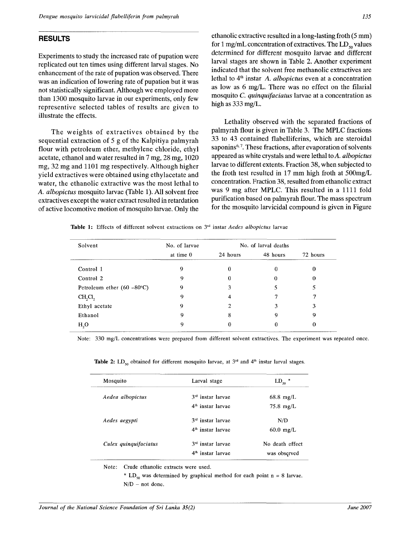# RESULTS

Experiments to study the increased rate of pupation were replicated out ten times using different larval stages. No enhancement of the rate of pupation was observed. There was an indication of lowering rate of pupation but it was not statistically significant. Although we employed more than 1300 mosquito larvae in our experiments, only few representive selected tables of results are given to illustrate the effects.

The weights of extractives obtained by the sequential extraction of 5 g of the Kalpitiya palmyrah flour with petroleum ether, methylene chloride, ethyl acetate, ethanol and water resulted in 7 mg, 28 mg, 1020 mg, 32 mg and 1101 mg respectively. Although higher yield extractives were obtained using ethylacetate and water, the ethanolic extractive was the most lethal to *A. albopictus* mosquito larvae (Table 1). All solvent free extractives except the water extract resulted in retardation of active locomotive motion of mosquito larvae. Only the ethanolic extractive resulted in a long-lasting froth (5 mm) for 1 mg/mL concentration of extractives. The  $LD_{50}$  values determined for different mosquito larvae and different larval stages are shown in Table 2. Another experiment indicated that the solvent free methanolic extractives are lethal to  $4^{\text{th}}$  instar A. albopictus even at a concentration as low as 6 mg/L. There was no effect on the filarial mosquito *C. quinquifaciatus* larvae at a concentration as high as 333 mg/L.

Lethality observed with the separated fractions of palmyrah flour is given in Table 3. The MPLC fractions 33 to 43 contained flabelliferins, which are steroidal saponins<sup>6,7</sup>. These fractions, after evaporation of solvents appeared as white crystals and were lethal to A. *albopictus*  larvae to different extents. Fraction 38, when subjected to the froth test resulted in 17 mm high froth at 500mg/L concentration. Fraction 38, resulted from ethanolic extract was 9 mg after MPLC. This resulted in a 1111 fold purification based on palmyrah flour. The mass spectrum for the mosquito larvicidal compound is given in Figure

|  |  |  | Table 1: Effects of different solvent extractions on 3 <sup>rd</sup> instar <i>Aedes albopictus</i> larvae |  |  |  |  |  |
|--|--|--|------------------------------------------------------------------------------------------------------------|--|--|--|--|--|
|--|--|--|------------------------------------------------------------------------------------------------------------|--|--|--|--|--|

| Solvent                              | No. of larvae | No. of larval deaths |          |          |
|--------------------------------------|---------------|----------------------|----------|----------|
|                                      | at time $0$   | 24 hours             | 48 hours | 72 hours |
| Control 1                            | 9             | 0                    | 0        | 0        |
| Control 2                            | 9             | 0                    | 0        | 0        |
| Petroleum ether $(60 - 80^{\circ}C)$ | 9             | 3                    |          |          |
| $CH_2Cl_2$                           | 9             | 4                    |          |          |
| Ethyl acetate                        | 9             | 2                    | 3        | 3        |
| Ethanol                              | 9             | 8                    | 9        | 9        |
| H <sub>2</sub> O                     | 9             | 0                    |          | 0        |

Note: 330 mg/L concentrations were prepared from different solvent extractives. The experiment was repeated once.

Table 2: LD<sub>50</sub> obtained for different mosquito larvae, at  $3<sup>rd</sup>$  and  $4<sup>th</sup>$  instar larval stages.

| Mosquito              | Larval stage                  | $LD_{50}$ *         |
|-----------------------|-------------------------------|---------------------|
| Aedea albopictus      | 3 <sup>rd</sup> instar larvae | $68.8$ mg/L         |
|                       | 4 <sup>th</sup> instar larvae | $75.8 \text{ mg/L}$ |
| Aedes aegypti         | 3 <sup>rd</sup> instar larvae | N/D                 |
|                       | 4 <sup>th</sup> instar larvae | $60.0$ mg/L         |
| Culex quinquifaciatus | 3 <sup>rd</sup> instar larvae | No death effect     |
|                       | 4 <sup>th</sup> instar larvae | was observed        |

Note: Crude ethanolic extracts were used.

\* LD<sub>50</sub> was determined by graphical method for each point n = 8 larvae.  $N/D$  – not done.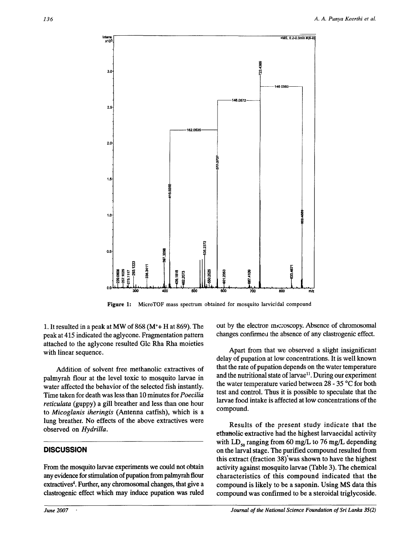

**Figure 1:** MicroTOF mass spectrum obtained for mosquito larvicidal compound

1. It resulted in a peak at MW of  $868 (M^+ + H^+$  at  $869)$ . The peak at 415 indicated the aglycone. Fragmentation pattern attached to the aglycone resulted Glc Rha Rha moieties with linear sequence.

Addition of solvent free methanolic extractives of palmyrah flour at the level toxic to mosquito larvae in water affected the behavior of the selected fish instantly. Time taken for death was less than 10 minutes for *Poecilia reticulata* (guppy) a gill breather and less than one hour to *Micoglanis iheringis* (Antenna catfish), which is a lung breather. No effects of the above extractives were observed on *Hydrilla.* 

## **DISCUSSION**

From the mosquito larvae experiments we could not obtain any evidence for stimulation of pupation from palmyrah flour extractives<sup>4</sup>. Further, any chromosomal changes, that give a clastrogenic effect which may induce pupation was ruled

out by the electron microscopy. Absence of chromosomal changes confirmed the absence of any clastrogenic effect.

Apart from that we observed a slight insignificant delay of pupation at low concentrations. It is well known that the rate of pupation depends on the water temperature and the nutritional state of larvae<sup>11</sup>. During our experiment the water temperature varied between 28 - 35 °C for both test and control. Thus it is possible to speculate that the larvae food intake is affected at low concentrations of the compound.

Results of the present study indicate that the ethanolic extractive had the highest larvaecidal activity with LD<sub>50</sub> ranging from 60 mg/L to 76 mg/L depending on the larval stage. The purified compound resulted from this extract (fraction  $38$ ) was shown to have the highest activity against mosquito larvae (Table 3). The chemical characteristics of this compound indicated that the compound is likely to be a saponin. Using MS data this compound was confirmed to be a steroidal triglycoside.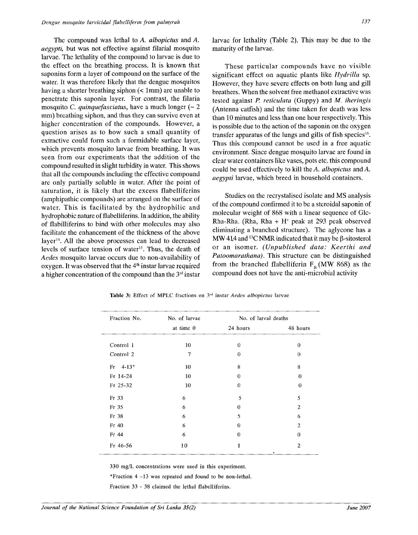The compound was lethal to *A. albopictus* and *A. aegypti,* but was not effective against filarial mosquito larvae. The lethality of the compound to larvae is due to the effect on the breathing process. It is known that saponins form a layer of compound on the surface of the water. It was therefore likely that the dengue mosquitos having a shorter breathing siphon (< 1mm) are unable to penetrate this saponin layer. For contrast, the filaria mosquito *C. quinquefasciatus,* have a much longer (~ 2 mm) breathing siphon, and thus they can survive even at higher concentration of the compounds. However, a question arises as to how such a small quantity of extractive could form such a formidable surface layer, which prevents mosquito larvae from breathing. It was seen from our experiments that the addition of the compound resulted in slight turbidity in water. This shows that all the compounds including the effective compound are only partially soluble in water. After the point of saturation, it is likely that the excess flabelliferins (amphipathic compounds) are arranged on the surface of water. This is facilitated by the hydrophilic and hydrophobic nature of flabelliferins. In addition, the ability of flabilliferins to bind with other molecules may also facilitate the enhancement of the thickness of the above layer<sup>14</sup> . All the above processes can lead to decreased levels of surface tension of water<sup>15</sup>. Thus, the death of *Aedes* mosquito larvae occurs due to non-availability of  $\alpha$  is the set of  $\alpha$  in the countries of  $\alpha$  instar larvae required a higher concentration of the compound than the  $3rd$  instar larvae for lethality (Table 2). This may be due to the maturity of the larvae.

These particular compounds have no visible significant effect on aquatic plants like *Hydrilla* sp. However, they have severe effects on both lung and gill breathers. When the solvent free methanol extractive was tested against *P. reticulata* (Guppy) and *M. iheringis*  (Antenna catfish) and the time taken for death was less than 10 minutes and less than one hour respectively. This is possible due to the action of the saponin on the oxygen transfer apparatus of the lungs and gills of fish species<sup>16</sup>. Thus this compound cannot be used in a free aquatic environment. Since dengue mosquito larvae are found in clear water containers like vases, pots etc. this compound could be used effectively to kill the A *albopictus* and *A. aegypti* larvae, which breed in household containers.

Studies on the recrystalised isolate and MS analysis of the compound confirmed it to be a steroidal saponin of molecular weight of 868 with a linear sequence of Glc-Rha-Rha. (Rha, Rha + H<sup>+</sup> peak at 293 peak observed eliminating a branched structure). The aglycone has a MW 41.4 and <sup>13</sup>C NMR indicated that it may be  $\beta$ -sitosterol or an isomer. *(Unpublished data: Keerthi and Patoomarathana)*. This structure can be distinguished from the branched flabelliferin  $F_R$  (MW 868) as the compound does not have the anti-microbial activity

| Fraction No. | No. of larvae | No. of larval deaths |                |  |
|--------------|---------------|----------------------|----------------|--|
|              | at time 0     | 24 hours             | 48 hours       |  |
| Control 1    | 10            | 0                    | $\theta$       |  |
| Control 2    | 7             | $\theta$             | $\theta$       |  |
| $Fr$ 4-13*   | 10            | 8                    | 8              |  |
| $Fr$ 14-24   | 10            | $\theta$             | $\theta$       |  |
| Fr 25-32     | 10            | $\Omega$             | 0              |  |
| Fr 33        | 6             | 5                    | 5              |  |
| Fr 35        | 6             | 0                    | $\overline{2}$ |  |
| Fr 38        | 6             | 5                    | 6              |  |
| $Fr$ 40      | 6             | $\theta$             | $\overline{2}$ |  |
| Fr 44        | 6             | $\theta$             | $\Omega$       |  |
| Fr 46-56     | 10            | 1                    | $\overline{2}$ |  |

**Table 3:** Effect of MPLC fractions on 3rd instar *Aedes albopictus* larvae

330 mg/L concentrations were used in this experiment.

\*Fraction 4 -13 was repeated and found to be non-lethal.

Fraction 33 - 38 claimed the lethal flabelliferins.